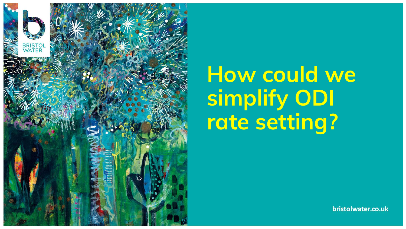

## **How could we simplify ODI rate setting?**

bristolwater.co.uk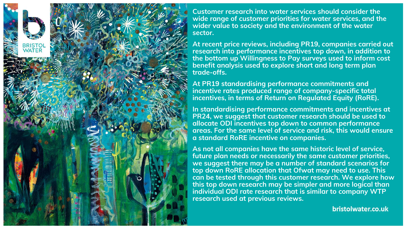

**Customer research into water services should consider the wide range of customer priorities for water services, and the wider value to society and the environment of the water sector.**

**At recent price reviews, including PR19, companies carried out research into performance incentives top down, in addition to the bottom up Willingness to Pay surveys used to inform cost benefit analysis used to explore short and long term plan trade-offs.**

**At PR19 standardising performance commitments and incentive rates produced range of company-specific total incentives, in terms of Return on Regulated Equity (RoRE).** 

**In standardising performance commitments and incentives at PR24, we suggest that customer research should be used to allocate ODI incentives top down to common performance areas. For the same level of service and risk, this would ensure a standard RoRE incentive on companies.** 

**As not all companies have the same historic level of service, future plan needs or necessarily the same customer priorities, we suggest there may be a number of standard scenarios for top down RoRE allocation that Ofwat may need to use. This can be tested through this customer research. We explore how this top down research may be simpler and more logical than individual ODI rate research that is similar to company WTP research used at previous reviews.**

bristolwater.co.uk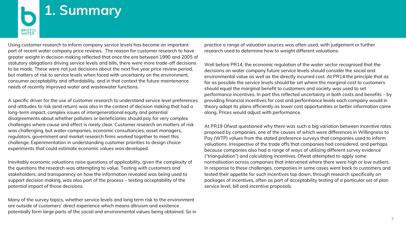

Using customer research to inform company service levels has become an important part of recent water company price reviews. The reason for customer research to have greater weight in decision making reflected that once the era between 1990 and 2005 of statutory obligations driving service levels and bills, there were more trade-off decisions to be made. These were not just decisions about the next five year price review period, but matters of risk to service levels when faced with uncertainty on the environment, consumer acceptability and affordability, and in that context the future maintenance needs of recently improved water and wastewater functions.

A specific driver for the use of customer research to understand service level preferences and attitudes to risk (and return) was also in the context of decision making that had a long-term impact, complex issues of intergenerational equity and potential disagreements about whether polluters or beneficiaries should pay for very complex challenges where cause and effect is rarely clear. Customer research on matters of risk was challenging, but water companies, economic consultancies, asset managers, regulators, government and market research firms worked together to meet this challenge. Experimentation in understanding customer priorities to design choice experiments that could estimate economic values was developed.

Inevitably economic valuations raise questions of applicability, given the complexity of the questions the research was attempting to value. Testing with customers and stakeholders, and transparency on how the information revealed was being used to support decision making, was also part of the process – testing acceptability of the potential impact of those decisions.

Many of the survey topics, whether service levels and long term risk to the environment are outside of customers' direct experience which means altruism and existence potentially form large parts of the social and environmental values being obtained. So in practice a range of valuation sources was often used, with judgement or further research used to determine how to weight different valuations.

Well before PR14, the economic regulation of the water sector recognised that the decisions on water company future service levels should consider the social and environmental value as well as the directly incurred cost. At PR14 the principle that as far as possible the service levels should be set where the marginal cost to customers should equal the marginal benefit to customers and society was used to set performance incentives. In part this reflected uncertainty in both costs and benefits – by providing financial incentives for cost and performance levels each company would in theory adapt its plans efficiently as lower cost opportunities or better information came along. Prices would adjust with performance.

At PR19 Ofwat questioned why there was such a big variation between incentive rates proposed by companies, one of the causes of which were differences in Willingness to Pay (WTP) values from the stated preference surveys that companies used to inform valuations. Irrespective of the trade offs that companies had considered, and perhaps because companies also had a range of ways of utilising different survey evidence ("triangulation") and calculating incentives, Ofwat attempted to apply some normalisation across companies that intervened where there were high or low outliers. In response to these challenges, companies in some cases went back to customers and tested their appetite for such incentives top down, through research specifically on packages of incentives, often as part of acceptability testing of a particular set of plan service level, bill and incentive proposals.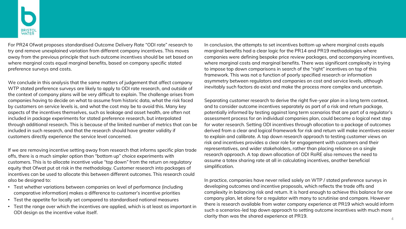For PR24 Ofwat proposes standardised Outcome Delivery Rate "ODI rate" research to try and remove unexplained variation from different company incentives. This moves away from the previous principle that such outcome incentives should be set based on where marginal costs equal marginal benefits, based on company specific stated preference surveys and costs.

We conclude in this analysis that the same matters of judgement that affect company WTP stated preference surveys are likely to apply to ODI rate research, and outside of the context of company plans will be very difficult to explain. The challenge arises from companies having to decide on what to assume from historic data, what the risk faced by customers on service levels is, and what the cost may be to avoid this. Many key aspects of the incentives themselves, such as leakage and asset health, are often not included in package experiments for stated preference research, but interpolated through additional research. This is because of the limited number of metrics that can be included in such research, and that the research should have greater validity if customers directly experience the service level concerned.

If we are removing incentive setting away from research that informs specific plan trade offs, there is a much simpler option than "bottom up" choice experiments with customers. This is to allocate incentive value "top down" from the return on regulatory equity that Ofwat put at risk in the methodology. Customer research into packages of incentives can be used to allocate this between different outcomes. This research could also be designed to:

- Test whether variations between companies on level of performance (including comparative information) makes a difference to customer's incentive priorities
- Test the appetite for locally set compared to standardised national measures
- Test the range over which the incentives are applied, which is at least as important in ODI design as the incentive value itself.

In conclusion, the attempts to set incentives bottom up where marginal costs equals marginal benefits had a clear logic for the PR14 and PR19 methodologies where companies were defining bespoke price review packages, and accompanying incentives, where marginal costs and marginal benefits. There was significant complexity in trying to impose top down comparisons in search of the "right" incentives on top of this framework. This was not a function of poorly specified research or information asymmetry between regulators and companies on cost and service levels, although inevitably such factors do exist and make the process more complex and uncertain.

Separating customer research to derive the right five-year plan in a long term context, and to consider outcome incentives separately as part of a risk and return package, potentially informed by testing against long term scenarios that are part of a regulator's assessment process for an individual companies plan, could become a logical next step for water research. Setting ODI incentives through allocation to a package of outcomes derived from a clear and logical framework for risk and return will make incentives easier to explain and calibrate. A top down research approach to testing customer views on risk and incentives provides a clear role for engagement with customers and their representatives, and wider stakeholders, rather than placing reliance on a single research approach. A top down allocation of ODI RoRE also removes the need to assume a totex sharing rate at all in calculating incentives, another beneficial simplification.

In practice, companies have never relied solely on WTP / stated preference surveys in developing outcomes and incentive proposals, which reflects the trade offs and complexity in balancing risk and return. It is hard enough to achieve this balance for one company plan, let alone for a regulator with many to scrutinise and compare. However there is research available from water company experience at PR19 which would inform such a scenarios-led top down approach to setting outcome incentives with much more clarity than was the shared experience at PR19. <sup>4</sup>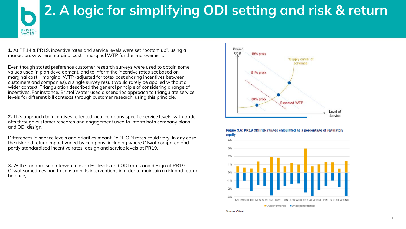# **2. A logic for simplifying ODI setting and risk & return**

**1.** At PR14 & PR19, incentive rates and service levels were set "bottom up", using a market proxy where marginal cost = marginal WTP for the improvement.

**BRISTOL**<br>WATER

Even though stated preference customer research surveys were used to obtain some values used in plan development, and to inform the incentive rates set based on marginal cost = marginal WTP (adjusted for totex cost sharing incentives between customers and companies), a single survey result would rarely be applied without a wider context. Triangulation described the general principle of considering a range of incentives. For instance, Bristol Water used a scenarios approach to triangulate service levels for different bill contexts through customer research, using this principle.

**2.** This approach to incentives reflected local company specific service levels, with trade offs through customer research and engagement used to inform both company plans and ODI design.

Differences in service levels and priorities meant RoRE ODI rates could vary. In any case the risk and return impact varied by company, including where Ofwat compared and partly standardised incentive rates, design and service levels at PR19.

**3.** With standardised interventions on PC levels and ODI rates and design at PR19, Ofwat sometimes had to constrain its interventions in order to maintain a risk and return balance,







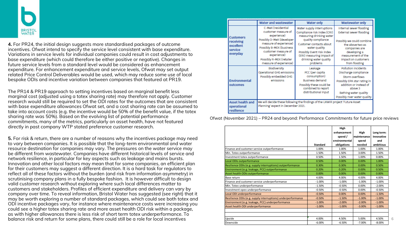

**4.** For PR24, the initial design suggests more standardised packages of outcome incentives. Ofwat intend to specify the service level consistent with base expenditure. Variations in service levels for individual companies could result in cost adjustments to base expenditure (which could therefore be either positive or negative). Changes in future service levels from a standard level would be considered as enhancement expenditure. For enhancement expenditure and service levels, Ofwat may set output related Price Control Deliverables would be used, which may reduce some use of local bespoke ODIs and incentive variation between companies that featured at PR19.

The PR14 & PR19 approach to setting incentives based on marginal benefit less marginal cost (adjusted using a totex sharing rate) may therefore not apply. Customer research would still be required to set the ODI rates for the outcomes that are consistent with base expenditure allowances Ofwat set, and a cost sharing rate can be assumed to take into account costs (e.g. the incentive would be 50% of the benefit value, if the totex sharing rate was 50%). Based on the evolving list of potential performance commitments, many of the metrics, particularly on asset health, have not featured directly in past company WTP stated preference customer research.

**5.** For risk & return, there are a number of reasons why the incentives package may need to vary between companies. It is possible that the long-term environmental and water resource destination for companies may vary. The pressures on the water service may be different from wastewater. Companies have different historical levels of service and network resilience, in particular for key aspects such as leakage and mains bursts. Innovation and other local factors may mean that for some companies, an efficient plan for their customers may suggest a different direction. It is a hard task for regulators to reflect all of these factors without the burden (and risk from information asymmetry) in scrutinising company plans in a fully bespoke fashion. It is however difficult to design valid customer research without exploring where such local differences matter to customers and stakeholders. Profiles of efficient expenditure and delivery can vary by company over time. To reveal information, Bristol Water has suggested (see right) that it may be worth exploring a number of standard packages, which could see both totex and ODI incentive packages vary, for instance where maintenance costs were increasing you could see a higher totex sharing rate and more asset health ODI risk within a package, as with higher allowances there is less risk of short term totex underperformance. To balance risk and return for some plans, there could still be a role for local incentives

|                                                                   | Water and wastewater                                                                                                                        | Water only                                                                                                                                              | Wastewater only                                                                                                                                                                             |
|-------------------------------------------------------------------|---------------------------------------------------------------------------------------------------------------------------------------------|---------------------------------------------------------------------------------------------------------------------------------------------------------|---------------------------------------------------------------------------------------------------------------------------------------------------------------------------------------------|
| <b>Customers</b><br>receiving<br>excellent<br>service<br>everyday | C-MeX (residential<br>customer measure of<br>experience)<br>Possibly D-MeX (developer<br>measure of experience)<br>Possibly B-MEX (business | Water supply interruptions<br>Compliance risk index (CRI)<br>measuring drinking water<br>quality compliance<br>Customer contacts about<br>water quality | Internal sewer flooding<br><b>External sewer flooding</b><br>Possibly we could combine<br>the above two as                                                                                  |
|                                                                   | customer measure of<br>experience)<br>Possibly R-MEX (retailer<br>measure of experience)                                                    | Possibly Event risk index<br>(ERI) measuring impact of<br>drinking water quality<br>problems                                                            | companies are<br>developing a<br>measurement of the<br>impact on customers<br>from flooding                                                                                                 |
| Environmental<br>outcomes                                         | Biodiversity<br>Operational GHG emissions<br>Possibly embedded GHG<br>emissions                                                             | Leakage<br>PCC (per capita<br>consumption)<br><b>Business demand</b><br>Possibly these could be<br>combined to report<br>distributional input           | Pollution incidents<br>Discharge compliance<br>Storm overflows<br>Possibly EPA star rating in<br>addition or instead of<br>above 3<br>Bathing water quality<br>Possibly river water quality |
| <b>Asset health and</b><br>operational<br>resilience              | Planning' expect in December 2021.                                                                                                          | We will decide these following the findings of the UKWIR project 'Future Asset                                                                          |                                                                                                                                                                                             |

Ofwat (November 2021) – PR24 and beyond: Performance Commitments for future price reviews

|                                                              |                 | High          |              |            |
|--------------------------------------------------------------|-----------------|---------------|--------------|------------|
|                                                              |                 | enhancement   | High         | Long term: |
|                                                              |                 | spend/        | Imaintenance | Innovative |
|                                                              |                 | environmental | spend        | and        |
|                                                              | <b>Standard</b> | obligations   | needed       | ambitious  |
| Finance and customer service outperformance                  | 1.00%           | 1.00%         | 1.00%        | 1.00%      |
| Min. Totex outperformance                                    | 1.50%           | 1.50%         | 3.00%        | 1.50%      |
| Investment totex outperformance                              | 0.50%           | 1.50%         | 1.00%        | 0.00%      |
| Local ODIs outperformance                                    | 0.50%           | 0.00%         | 0.00%        | 1.00%      |
| Resilience ODIs (e.g. supply interruptions) outperformance   | 0.30%           | 0.30%         | 0.00%        | 0.50%      |
| Environment (e.g. leakage, PCC) outperformance               | 0.20%           | 0.20%         | 0.00%        | 0.50%      |
| Asset health ODIs outperformance                             | 0.00%           | 0.00%         | 0.00%        | 0.00%      |
| Base return                                                  | 4.00%           | 4.00%         | 4.00%        | 4.00%      |
| Finance and customer service underperformance                | $-1.00%$        | $-1.00%$      | $-1.00%$     | $-1.00%$   |
| Min. Totex underperformance                                  | $-1.50%$        | $-0.50%$      | 0.00%        | $-2.00%$   |
| Investment opex underperformance                             | $-0.50%$        | $-0.50%$      | 0.00%        | $-0.50%$   |
| Local ODI underperformance                                   | $-0.50%$        | 0.00%         | 0.00%        | $-1.50%$   |
| Resilience ODIs (e.g. supply interruptions) underperformance | $-0.50%$        | $-1.50%$      | $-1.00%$     | $-1.00%$   |
| Environment (e.g. leakage, PCC) underperformance             | $-1.00%$        | $-2.00%$      | $-2.00%$     | $-1.00%$   |
| Asset health ODI underperformance                            | $-1.00%$        | $-1.00%$      | $-3.00%$     | $-1.00%$   |
|                                                              |                 |               |              |            |
| Upside                                                       | 4.00%           | 4.50%         | 5.00%        | 4.50%      |
| Downside                                                     | $-6.00%$        | $-6.50%$      | $-7.00%$     | $-8.00%$   |

6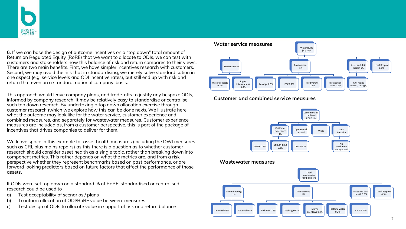

**6.** If we can base the design of outcome incentives on a "top down" total amount of Return on Regulated Equity (RoRE) that we want to allocate to ODIs, we can test with customers and stakeholders how this balance of risk and return compares to their views. There are two main benefits. First, we have simpler incentives research with customers. Second, we may avoid the risk that in standardising, we merely solve standardisation in one aspect (e.g. service levels and ODI incentive rates), but still end up with risk and return that even on a standard, notional company, basis.

This approach would leave company plans, and trade-offs to justify any bespoke ODIs, informed by company research. It may be relatively easy to standardise or centralise such top down research. By undertaking a top down allocation exercise through customer research (which we explore how this can be done next). We illustrate here what the outcome may look like for the water service, customer experience and combined measures, and separately for wastewater measures. Customer experience measures are included as, from a customer perspective, this is part of the package of incentives that drives companies to deliver for them.

We leave space in this example for asset health measures (including the DWI measures such as CRI, plus mains repairs) as this there is a question as to whether customer research should consider asset health as a single topic, rather than breaking down into component metrics. This rather depends on what the metrics are, and from a risk perspective whether they represent benchmarks based on past performance, or are forward looking predictors based on future factors that affect the performance of those assets.

If ODIs were set top down on a standard % of RoRE, standardised or centralised research could be used to

- a) Test acceptability of scenarios / plans
- b) To inform allocation of ODI/RoRE value between measures
- c) Test design of ODIs to allocate value in support of risk and return balance



**Customer and combined service measures**



### **Wastewater measures**

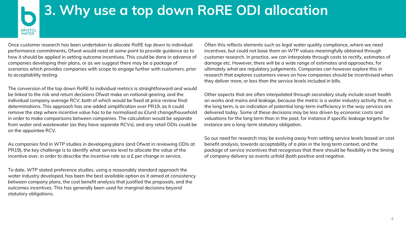## **3. Why use a top down RoRE ODI allocation**

Once customer research has been undertaken to allocate RoRE top down to individual performance commitments, Ofwat would need at some point to provide guidance as to how it should be applied in setting outcome incentives. This could be done in advance of companies developing their plans, or as we suggest there may be a package of scenarios which provides companies with scope to engage further with customers, prior to acceptability testing.

BRISTOL<br>WATER

The conversion of the top down RoRE to individual metrics is straightforward and would be linked to the risk and return decisions Ofwat make on notional gearing, and the individual company average RCV, both of which would be fixed at price review final determinations. This approach has one added simplification over PR19, as it could remove the step where incentive value has to be normalised as £/unit change/household in order to make comparisons between companies. The calculation would be separate from water and wastewater (as they have separate RCVs), and any retail ODIs could be on the appointee RCV.

As companies find in WTP studies in developing plans (and Ofwat in reviewing ODIs at PR19), the key challenge is to identify what service level to allocate the value of the incentive over, in order to describe the incentive rate as a £ per change in service.

To date, WTP stated preference studies, using a reasonably standard approach the water industry developed, has been the best available option as it aimed at consistency between company plans, the cost benefit analysis that justified the proposals, and the outcomes incentives. This has generally been used for marginal decisions beyond statutory obligations.

Often this reflects elements such as legal water quality compliance, where we need incentives, but could not base them on WTP values meaningfully obtained through customer research. In practice, we can interpolate through costs to rectify, estimates of damage etc. However, there will be a wide range of estimates and approaches, for ultimately what are regulatory judgements. Companies can however explore this in research that explores customers views on how companies should be incentivised when they deliver more, or less than the service levels included in bills.

Other aspects that are often interpolated through secondary study include asset health on works and mains and leakage, because the metric is a water industry activity that, in the long term, is an indication of potential long-term inefficiency in the way services are delivered today. Some of these decisions may be less driven by economic costs and valuations for the long term than in the past, for instance if specific leakage targets for instance are a long-term statutory obligation.

So our need for research may be evolving away from setting service levels based on cost benefit analysis, towards acceptability of a plan in the long term context, and the package of service incentives that recognises that there should be flexibility in the timing of company delivery as events unfold (both positive and negative.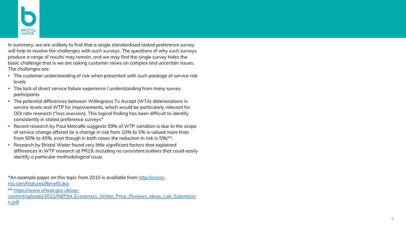

In summary, we are unlikely to find that a single standardised stated preference survey will help to resolve the challenges with such surveys. The questions of why such surveys produce a range of results may remain, and we may find the single survey hides the basic challenge that is we are asking customer views on complex and uncertain issues. The challenges are:

- The customer understanding of risk when presented with such package of service risk levels
- The lack of direct service failure experience / understanding from many survey participants
- The potential differences between Willingness To Accept (WTA) deteriorations in service levels and WTP for improvements, which would be particularly relevant for ODI rate research ("loss aversion). This logical finding has been difficult to identify consistently in stated preference surveys\*
- Recent research by Paul Metcalfe suggests 59% of WTP variation is due to the scope of service change offered (ie a change in risk from 10% to 5% is valued more than from 50% to 45%, even though in both cases the reduction in risk is 5%)\*\*.
- Research by Bristol Water found very little significant factors that explained differences in WTP research at PR19, including no consistent outliers that could easily identify a particular methodological issue.

\*An example paper on this topic from 2010 is available from <u>http://econo-</u> my.com/features/Benefit.doc

\*\* https://www.ofwat.gov.uk/wp -

[content/uploads/2021/09/PJM\\_Economics\\_Water\\_Price\\_Reviews\\_Ideas\\_Lab\\_Submissio](https://www.ofwat.gov.uk/wp-content/uploads/2021/09/PJM_Economics_Water_Price_Reviews_Ideas_Lab_Submission.pdf) n.pdf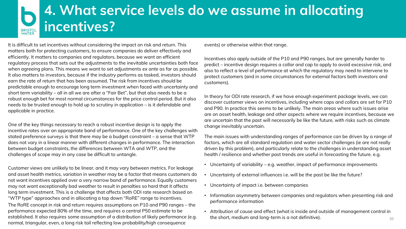## **4. What service levels do we assume in allocating incentives?** BRISTOI<br>WATER

It is difficult to set incentives without considering the impact on risk and return. This matters both for protecting customers, to ensure companies do deliver effectively and efficiently. It matters to companies and regulators, because we want an efficient regulatory process that sets out the adjustments to the inevitable uncertainties both face when agreeing plans. This means we want to set adjustments *ex ante* as far as possible. It also matters to investors, because if the industry performs as tasked, investors should earn the rate of return that has been assumed. The risk from incentives should be predictable enough to encourage long term investment when faced with uncertainty and short term variability – all in all we are after a "Fair Bet", but that also needs to be a robust enough bet for most normal circumstances for the price control period. But it also needs to be trusted enough to hold up to scrutiny in application – is it defendable and applicable in practice.

One of the key things necessary to reach a robust incentive design is to apply the incentive rates over an appropriate band of performance. One of the key challenges with stated preference surveys is that there may be a budget constraint – a sense that WTP does not vary in a linear manner with different changes in performance. The interaction between budget constraints, the differences between WTA and WTP, and the challenges of scope may in any case be difficult to untangle.

Customer views are unlikely to be linear, and it may vary between metrics. For leakage and asset health metrics, variation in weather may be a factor that means customers do not want incentives applied over a very narrow band of performance. Equally customers may not want exceptionally bad weather to result in penalties so hard that it affects long term investment. This is a challenge that affects both ODI rate research based on "WTP type" approaches and in allocating a top down "RoRE" range to incentives.

The RoRE concept in risk and return requires assumptions on P10 and P90 ranges – the performance expected 80% of the time, and requires a central P50 estimate to be established. It also requires some assumption of a distribution of likely performance (e.g. normal, triangular, even, a long risk tail reflecting low probability/high consequence

events) or otherwise within that range.

Incentives also apply outside of the P10 and P90 ranges, but are generally harder to predict – incentive design requires a collar and cap to apply to avoid excessive risk, and also to reflect a level of performance at which the regulatory may need to intervene to protect customers (and in some circumstances for external factors both investors and customers).

In theory for ODI rate research, if we have enough experiment package levels, we can discover customer views on incentives, including where caps and collars are set for P10 and P90. In practice this seems to be unlikely. The main areas where such issues arise are on asset health, leakage and other aspects where we require incentives, because we are uncertain that the past will necessarily be like the future, with risks such as climate change inevitably uncertain.

The main issues with understanding ranges of performance can be driven by a range of factors, which are all standard regulation and water sector challenges (ie are not really driven by this problem), and particularly relate to the challenges in understanding asset health / resilience and whether past trends are useful in forecasting the future. e.g.

- Uncertainty of variability e.g. weather, impact of performance improvements
- Uncertainty of external influences i.e. will be the past be like the future?
- Uncertainty of impact i.e. between companies
- Information asymmetry between companies and regulators when presenting risk and performance information
- Attribution of cause and effect (what is inside and outside of management control in the short, medium and long-term is a not definitive).  $10$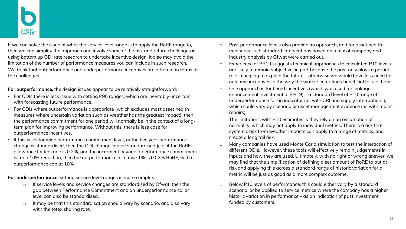If we can solve the issue of what the service level range is to apply the RoRE range to, then we can simplify the approach and involve some of the risk and return challenges in using bottom up ODI rate research to undertake incentive design. It also may avoid the limitation of the number of performance measures you can include in such research. We think that outperformance and underperformance incentives are different in terms of the challenges

**For outperformance,** the design issues appear to be relatively straightforward:

- For ODIs there is less issue with setting P90 ranges, which are inevitably uncertain with forecasting future performance.
- For ODIs where outperformance is appropriate (which excludes most asset health measures where uncertain variation such as weather has the greatest impact), then the performance commitment for one period will normally be in the context of a longterm plan for improving performance. Without this, there is less case for outperformance incentives.
- If this is sector wide performance commitment level, or the five year performance change is standardised, then the ODI change can be standardised (e.g. if the RoRE allowance for leakage is 0.2%, and the increment beyond a performance commitment is for a 10% reduction, then the outperformance incentive 1% is 0.02% RoRE, with a outperformance cap at 10%

**For underperformance,** setting service level ranges is more complex:

- o If service levels and service changes are standardised by Ofwat, then the gap between Performance Commitment and an underperformance collar level can also be standardised.
- o It may be that this standardisation should vary by scenario, and also vary with the totex sharing rate.
- o Past performance levels also provide an approach, and for asset health measures such standard interventions based on a mix of company and industry analysis by Ofwat were carried out.
- o Experience of PR19 suggests technical approaches to calculated P10 levels are likely to remain subjective, in part because the past only plays a partial role in helping to explain the future – otherwise we would have less need for outcome incentives in the way the water sector finds beneficial to use them.
- o One approach is for tiered incentives (which was used for leakage enhancement investment at PR19) – a standard level of P10 range of underperformance for an indicator (as with CRI and supply interruptions), which could vary by scenario or asset management evidence (as with mains repairs).
- o The limitations with P10 estimates is they rely on an assumption of normality, which may not apply to individual metrics. There is a risk that systemic risk from weather impacts can apply to a range of metrics, and create a long tail risk.
- o Many companies have used Monte Carlo simulation to test the interaction of different ODIs. However, these tools will effectively remain judgements in inputs and how they are used. Ultimately, with no right or wrong answer, we may find that the simplification of defining a set amount of RoRE to put at risk and applying this across a standard range of historic variation for a metric will be just as good as a more complex outcome.
- $\circ$  Below P10 levels of performance, this could either vary by a standard scenario, or be applied to service metrics where the company has a higher historic variation in performance – as an indication of past investment funded by customers.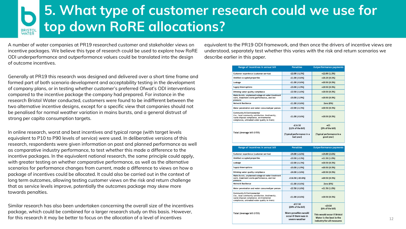## **5. What type of customer research could we use for top down RoRE allocations?** BRISTOL<br>WATER

A number of water companies at PR19 researched customer and stakeholder views on incentive packages. We believe this type of research could be used to explore how RoRE ODI underperformance and outperformance values could be translated into the design of outcome incentives.

Generally at PR19 this research was designed and delivered over a short time frame and formed part of both scenario development and acceptability testing in the development of company plans, or in testing whether customer's preferred Ofwat's ODI interventions compared to the incentive package the company had prepared. For instance in the research Bristol Water conducted, customers were found to be indifferent between the two alternative incentive designs, except for a specific view that companies should not be penalised for normal weather variation in mains bursts, and a general distrust of strong per capita consumption targets.

In online research, worst and best incentives and typical range (with target levels equivalent to P10 to P90 levels of service) were used. In deliberative versions of this research, respondents were given information on past and planned performance as well as comparative industry performance, to test whether this made a difference to the incentive packages. In the equivalent national research, the same principle could apply, with greater testing on whether comparative performance, as well as the alternative scenarios for performance changes from current, made a difference to views on how a package of incentives could be allocated. It could also be carried out in the context of long term outcomes, allowing testing customer views on the risk and return challenge that as service levels improve, potentially the outcomes package may skew more towards penalties.

Similar research has also been undertaken concerning the overall size of the incentives package, which could be combined for a larger research study on this basis. However, for this research it may be better to focus on the allocation of a level of incentives

equivalent to the PR19 ODI framework, and then once the drivers of incentive views are understood, separately test whether this varies with the risk and return scenarios we describe earlier in this paper.

| <b>Penalties</b>                                            | <b>Outperformance payments</b>                         |  |
|-------------------------------------------------------------|--------------------------------------------------------|--|
| $-E2.00$ ( $-1.3%$ )                                        | $+£2.00(1.3%)$                                         |  |
| $-£1.00(-0.6%)$                                             | $+£0.20(0.1%)$                                         |  |
| $-E1.00$ ( $-0.6%$ )                                        | $+£0.50(0.3%)$                                         |  |
| $-E3.00(-1.9%)$                                             | $+E0.50(0.3%)$                                         |  |
| $-E2.50(-1.6%)$                                             | $+E0.50(0.3%)$                                         |  |
| $-£3.00(-1.9%)$                                             | $+£0.50(0.3%)$                                         |  |
| $-E1.00$ (-0.6%)                                            | <b>Zero (0%)</b>                                       |  |
| $-E2.00$ ( $-1.3%$ )                                        | $+E0.50(0.3%)$                                         |  |
| $-E1.00$ ( $-0.6%$ )                                        | $+E0.50(0.3%)$                                         |  |
| $-£16.50$<br>(11% of the bill)<br>(Typical performance in a | $+E5$<br>(3% of the bill)<br>(Typical performance in a |  |
|                                                             | Mains bursts, unplanned outage at water treatment      |  |

| Range of incentives in annual bill                                                                                                                                                       | <b>Penalties</b>                                                | <b>Outperformance payments</b>                                                       |  |
|------------------------------------------------------------------------------------------------------------------------------------------------------------------------------------------|-----------------------------------------------------------------|--------------------------------------------------------------------------------------|--|
| Customer experience (customer service)                                                                                                                                                   | $-E4.00$ $(-2.6%)$                                              | $+£4.00(2.6%)$                                                                       |  |
| Unbilled occupied properties                                                                                                                                                             | $-E3.50$ (-2.3%)                                                | $+£1.50(1.0%)$                                                                       |  |
| Leakage                                                                                                                                                                                  | $-E2.00$ ( $-1.3%$ )                                            | $+£0.50(0.3%)$                                                                       |  |
| <b>Supply Interruptions</b>                                                                                                                                                              | $-E3.00$ ( $-1.9%$ )                                            | $+E0.50(0.3%)$                                                                       |  |
| Drinking water quality compliance                                                                                                                                                        | $-E4.00$ (-2.6%)                                                | $+E0.50(0.3%)$                                                                       |  |
| Mains bursts, unplanned outage at water treatment<br>work, treatment works performance, and low<br>pressure                                                                              | $-£16.50(-10.6%)$                                               | $+E0.50(0.3%)$                                                                       |  |
| Network Resilience                                                                                                                                                                       | $-£1.00(-0.6%)$                                                 | <b>Zero (0%)</b>                                                                     |  |
| Meter penetration and water consumed per person                                                                                                                                          | $-E2.50(-1.6%)$                                                 | $+£1.50(1.0%)$                                                                       |  |
| <b>Community &amp; Environmental</b><br>(i.e., local community satisfaction, biodiversity,<br>waste disposal compliance, environmental<br>compliance, untreated water quality in rivers) | $-E1.00$ ( $-0.6%$ )                                            | $+E0.50(0.3%)$                                                                       |  |
|                                                                                                                                                                                          | $-£37.50$<br>(24% of the bill)                                  | $+£9.50$<br>(6% of the bill)                                                         |  |
| Total (Average bill £155)                                                                                                                                                                | More penalties would<br>occur if there was in<br>severe weather | This would occur if Bristol<br>Water is the best in the<br>industry for all measures |  |